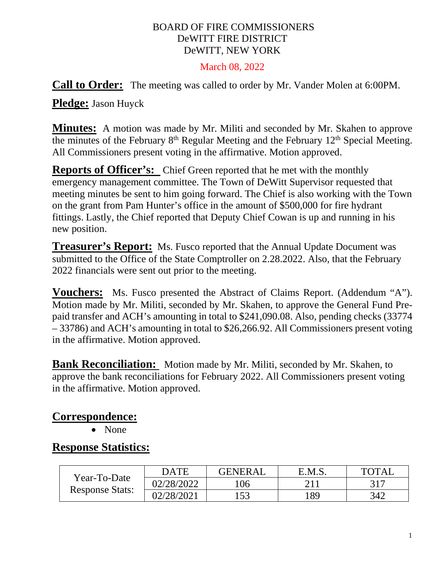#### BOARD OF FIRE COMMISSIONERS DeWITT FIRE DISTRICT DeWITT, NEW YORK

#### March 08, 2022

**Call to Order:** The meeting was called to order by Mr. Vander Molen at 6:00PM.

**Pledge:** Jason Huyck

**Minutes:** A motion was made by Mr. Militi and seconded by Mr. Skahen to approve the minutes of the February  $8<sup>th</sup>$  Regular Meeting and the February  $12<sup>th</sup>$  Special Meeting. All Commissioners present voting in the affirmative. Motion approved.

**Reports of Officer's:** Chief Green reported that he met with the monthly emergency management committee. The Town of DeWitt Supervisor requested that meeting minutes be sent to him going forward. The Chief is also working with the Town on the grant from Pam Hunter's office in the amount of \$500,000 for fire hydrant fittings. Lastly, the Chief reported that Deputy Chief Cowan is up and running in his new position.

**Treasurer's Report:** Ms. Fusco reported that the Annual Update Document was submitted to the Office of the State Comptroller on 2.28.2022. Also, that the February 2022 financials were sent out prior to the meeting.

**Vouchers:** Ms. Fusco presented the Abstract of Claims Report. (Addendum "A"). Motion made by Mr. Militi, seconded by Mr. Skahen, to approve the General Fund Prepaid transfer and ACH's amounting in total to \$241,090.08. Also, pending checks (33774 – 33786) and ACH's amounting in total to \$26,266.92. All Commissioners present voting in the affirmative. Motion approved.

**Bank Reconciliation:** Motion made by Mr. Militi, seconded by Mr. Skahen, to approve the bank reconciliations for February 2022. All Commissioners present voting in the affirmative. Motion approved.

#### **Correspondence:**

• None

#### **Response Statistics:**

| Year-To-Date<br><b>Response Stats:</b> | DATE       | <b>GENERAL</b> | E.M.S. | <b>TOTAL</b> |
|----------------------------------------|------------|----------------|--------|--------------|
|                                        | 02/28/2022 | l06            |        | 317          |
|                                        | 02/28/2021 | 153            | ' 89   | 342          |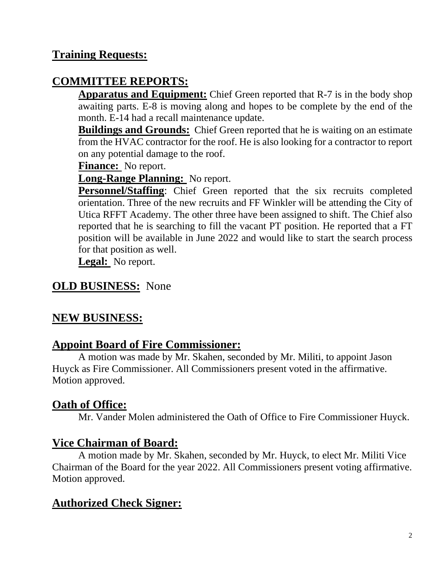### **Training Requests:**

## **COMMITTEE REPORTS:**

**Apparatus and Equipment:** Chief Green reported that R-7 is in the body shop awaiting parts. E-8 is moving along and hopes to be complete by the end of the month. E-14 had a recall maintenance update.

**Buildings and Grounds:** Chief Green reported that he is waiting on an estimate from the HVAC contractor for the roof. He is also looking for a contractor to report on any potential damage to the roof.

**Finance:** No report.

**Long-Range Planning:** No report.

**Personnel/Staffing**: Chief Green reported that the six recruits completed orientation. Three of the new recruits and FF Winkler will be attending the City of Utica RFFT Academy. The other three have been assigned to shift. The Chief also reported that he is searching to fill the vacant PT position. He reported that a FT position will be available in June 2022 and would like to start the search process for that position as well.

**Legal:** No report.

#### **OLD BUSINESS:** None

### **NEW BUSINESS:**

#### **Appoint Board of Fire Commissioner:**

A motion was made by Mr. Skahen, seconded by Mr. Militi, to appoint Jason Huyck as Fire Commissioner. All Commissioners present voted in the affirmative. Motion approved.

### **Oath of Office:**

Mr. Vander Molen administered the Oath of Office to Fire Commissioner Huyck.

### **Vice Chairman of Board:**

A motion made by Mr. Skahen, seconded by Mr. Huyck, to elect Mr. Militi Vice Chairman of the Board for the year 2022. All Commissioners present voting affirmative. Motion approved.

# **Authorized Check Signer:**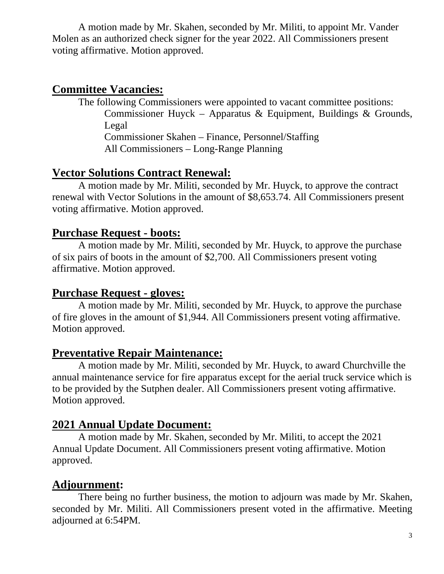A motion made by Mr. Skahen, seconded by Mr. Militi, to appoint Mr. Vander Molen as an authorized check signer for the year 2022. All Commissioners present voting affirmative. Motion approved.

#### **Committee Vacancies:**

The following Commissioners were appointed to vacant committee positions: Commissioner Huyck – Apparatus & Equipment, Buildings & Grounds, Legal Commissioner Skahen – Finance, Personnel/Staffing All Commissioners – Long-Range Planning

### **Vector Solutions Contract Renewal:**

A motion made by Mr. Militi, seconded by Mr. Huyck, to approve the contract renewal with Vector Solutions in the amount of \$8,653.74. All Commissioners present voting affirmative. Motion approved.

#### **Purchase Request - boots:**

A motion made by Mr. Militi, seconded by Mr. Huyck, to approve the purchase of six pairs of boots in the amount of \$2,700. All Commissioners present voting affirmative. Motion approved.

#### **Purchase Request - gloves:**

A motion made by Mr. Militi, seconded by Mr. Huyck, to approve the purchase of fire gloves in the amount of \$1,944. All Commissioners present voting affirmative. Motion approved.

#### **Preventative Repair Maintenance:**

A motion made by Mr. Militi, seconded by Mr. Huyck, to award Churchville the annual maintenance service for fire apparatus except for the aerial truck service which is to be provided by the Sutphen dealer. All Commissioners present voting affirmative. Motion approved.

### **2021 Annual Update Document:**

A motion made by Mr. Skahen, seconded by Mr. Militi, to accept the 2021 Annual Update Document. All Commissioners present voting affirmative. Motion approved.

### **Adjournment:**

There being no further business, the motion to adjourn was made by Mr. Skahen, seconded by Mr. Militi. All Commissioners present voted in the affirmative. Meeting adjourned at 6:54PM.